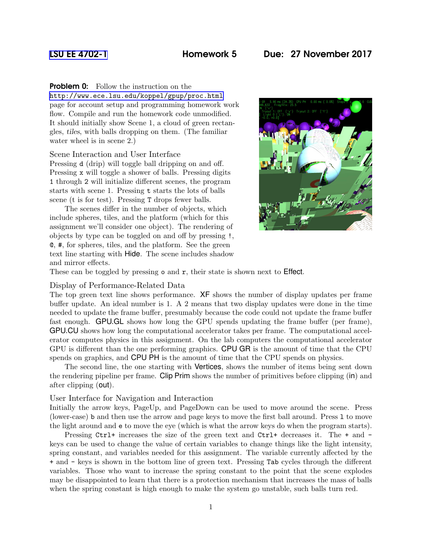# [LSU EE 4702-1](http://www.ece.lsu.edu/koppel/gpup/) Homework 5 Due: 27 November 2017

## **Problem 0:** Follow the instruction on the

<http://www.ece.lsu.edu/koppel/gpup/proc.html> page for account setup and programming homework work flow. Compile and run the homework code unmodified. It should initially show Scene 1, a cloud of green rectangles, tiles, with balls dropping on them. (The familiar water wheel is in scene 2.)

## Scene Interaction and User Interface

Pressing d (drip) will toggle ball dripping on and off. Pressing x will toggle a shower of balls. Pressing digits 1 through 2 will initialize different scenes, the program starts with scene 1. Pressing t starts the lots of balls scene (t is for test). Pressing T drops fewer balls.

The scenes differ in the number of objects, which include spheres, tiles, and the platform (which for this assignment we'll consider one object). The rendering of objects by type can be toggled on and off by pressing !, @, #, for spheres, tiles, and the platform. See the green text line starting with Hide. The scene includes shadow and mirror effects.



These can be toggled by pressing  $\circ$  and  $\mathbf{r}$ , their state is shown next to **Effect**.

### Display of Performance-Related Data

The top green text line shows performance. XF shows the number of display updates per frame buffer update. An ideal number is 1. A 2 means that two display updates were done in the time needed to update the frame buffer, presumably because the code could not update the frame buffer fast enough. GPU.GL shows how long the GPU spends updating the frame buffer (per frame), GPU.CU shows how long the computational accelerator takes per frame. The computational accelerator computes physics in this assignment. On the lab computers the computational accelerator GPU is different than the one performing graphics. CPU GR is the amount of time that the CPU spends on graphics, and CPU PH is the amount of time that the CPU spends on physics.

The second line, the one starting with Vertices, shows the number of items being sent down the rendering pipeline per frame. Clip Prim shows the number of primitives before clipping (in) and after clipping (out).

## User Interface for Navigation and Interaction

Initially the arrow keys, PageUp, and PageDown can be used to move around the scene. Press (lower-case) b and then use the arrow and page keys to move the first ball around. Press l to move the light around and e to move the eye (which is what the arrow keys do when the program starts).

Pressing Ctrl+ increases the size of the green text and Ctrl+ decreases it. The + and keys can be used to change the value of certain variables to change things like the light intensity, spring constant, and variables needed for this assignment. The variable currently affected by the + and - keys is shown in the bottom line of green text. Pressing Tab cycles through the different variables. Those who want to increase the spring constant to the point that the scene explodes may be disappointed to learn that there is a protection mechanism that increases the mass of balls when the spring constant is high enough to make the system go unstable, such balls turn red.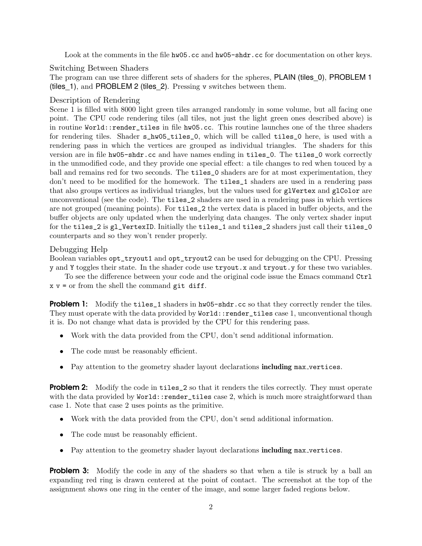Look at the comments in the file hw05.cc and hw05-shdr.cc for documentation on other keys.

Switching Between Shaders

The program can use three different sets of shaders for the spheres, PLAIN (tiles\_0), PROBLEM 1 (tiles\_1), and PROBLEM 2 (tiles\_2). Pressing v switches between them.

# Description of Rendering

Scene 1 is filled with 8000 light green tiles arranged randomly in some volume, but all facing one point. The CPU code rendering tiles (all tiles, not just the light green ones described above) is in routine World::render\_tiles in file hw05.cc. This routine launches one of the three shaders for rendering tiles. Shader s\_hw05\_tiles\_0, which will be called tiles\_0 here, is used with a rendering pass in which the vertices are grouped as individual triangles. The shaders for this version are in file hw05-shdr.cc and have names ending in tiles\_0. The tiles\_0 work correctly in the unmodified code, and they provide one special effect: a tile changes to red when touced by a ball and remains red for two seconds. The tiles\_0 shaders are for at most experimentation, they don't need to be modified for the homework. The tiles\_1 shaders are used in a rendering pass that also groups vertices as individual triangles, but the values used for glVertex and glColor are unconventional (see the code). The tiles\_2 shaders are used in a rendering pass in which vertices are not grouped (meaning points). For tiles\_2 the vertex data is placed in buffer objects, and the buffer objects are only updated when the underlying data changes. The only vertex shader input for the tiles\_2 is gl\_VertexID. Initially the tiles\_1 and tiles\_2 shaders just call their tiles\_0 counterparts and so they won't render properly.

# Debugging Help

Boolean variables opt\_tryout1 and opt\_tryout2 can be used for debugging on the CPU. Pressing y and Y toggles their state. In the shader code use tryout.x and tryout.y for these two variables.

To see the difference between your code and the original code issue the Emacs command Ctrl  $x y =$  or from the shell the command git diff.

**Problem 1:** Modify the tiles 1 shaders in hw05-shdr.cc so that they correctly render the tiles. They must operate with the data provided by World::render\_tiles case 1, unconventional though it is. Do not change what data is provided by the CPU for this rendering pass.

- Work with the data provided from the CPU, don't send additional information.
- The code must be reasonably efficient.
- Pay attention to the geometry shader layout declarations including max vertices.

**Problem 2:** Modify the code in tilles 2 so that it renders the tiles correctly. They must operate with the data provided by World::render\_tiles case 2, which is much more straightforward than case 1. Note that case 2 uses points as the primitive.

- Work with the data provided from the CPU, don't send additional information.
- The code must be reasonably efficient.
- Pay attention to the geometry shader layout declarations including max vertices.

**Problem 3:** Modify the code in any of the shaders so that when a tile is struck by a ball an expanding red ring is drawn centered at the point of contact. The screenshot at the top of the assignment shows one ring in the center of the image, and some larger faded regions below.